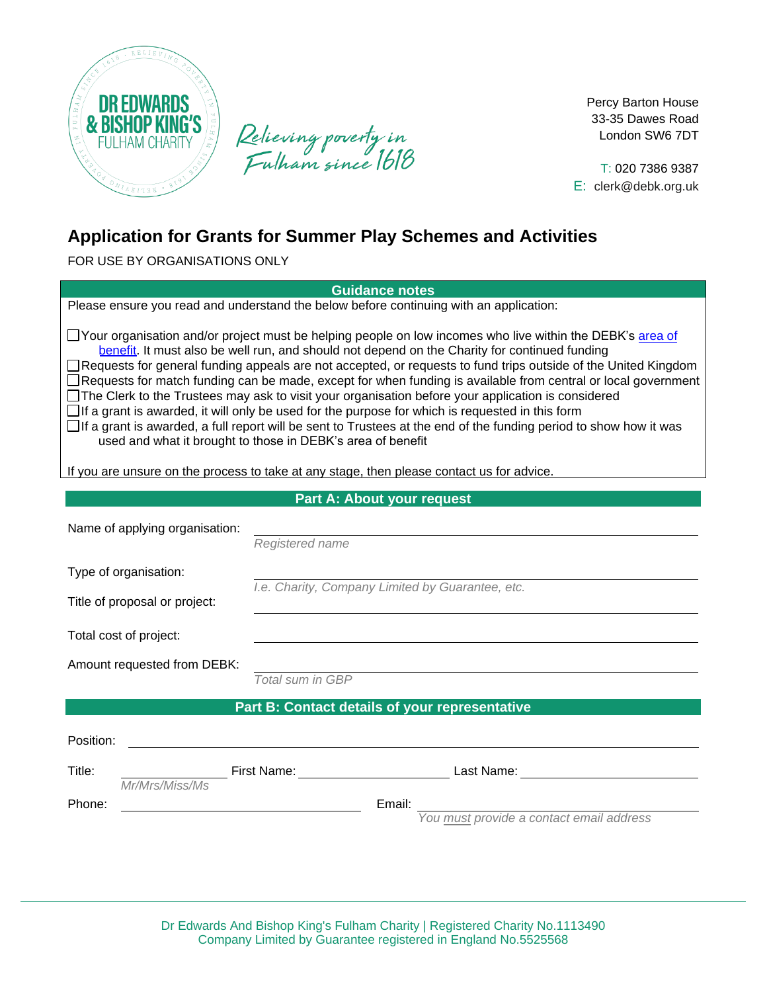

Relieving poverty in<br>Fulham since 1618

Percy Barton House 33-35 Dawes Road London SW6 7DT

T: 020 7386 9387 E: [clerk@debk.org.uk](mailto:clerk@debk.org.uk)

# **Application for Grants for Summer Play Schemes and Activities**

FOR USE BY ORGANISATIONS ONLY

**Guidance notes**

Please ensure you read and understand the below before continuing with an application:

□ Your organisation and/or project must be helping people on low incomes who live within the DEBK'[s area of](https://www.debk.org.uk/eligibility) [be](https://www.debk.org.uk/eligibility)nefit. It must also be well run, and should not depend on the Charity for continued funding □Requests for general funding appeals are not accepted, or requests to fund trips outside of the United Kingdom Requests for match funding can be made, except for when funding is available from central or local government  $\Box$  The Clerk to the Trustees may ask to visit your organisation before your application is considered

 $\Box$  If a grant is awarded, it will only be used for the purpose for which is requested in this form

 $\Box$  If a grant is awarded, a full report will be sent to Trustees at the end of the funding period to show how it was used and what it brought to those in DEBK's area of benefit

If you are unsure on the process to take at any stage, then please contact us for advice.

## **Part A: About your request**

| Name of applying organisation: |                  |                                                  |  |  |  |  |
|--------------------------------|------------------|--------------------------------------------------|--|--|--|--|
|                                | Registered name  |                                                  |  |  |  |  |
| Type of organisation:          |                  |                                                  |  |  |  |  |
| Title of proposal or project:  |                  | I.e. Charity, Company Limited by Guarantee, etc. |  |  |  |  |
| Total cost of project:         |                  |                                                  |  |  |  |  |
| Amount requested from DEBK:    |                  |                                                  |  |  |  |  |
|                                | Total sum in GBP |                                                  |  |  |  |  |
|                                |                  | Part B: Contact details of your representative   |  |  |  |  |
| Position:                      |                  |                                                  |  |  |  |  |
| Title:<br>Mr/Mrs/Miss/Ms       | First Name:      | Last Name:                                       |  |  |  |  |
| Phone:                         |                  | Email:                                           |  |  |  |  |
|                                |                  | You must provide a contact email address         |  |  |  |  |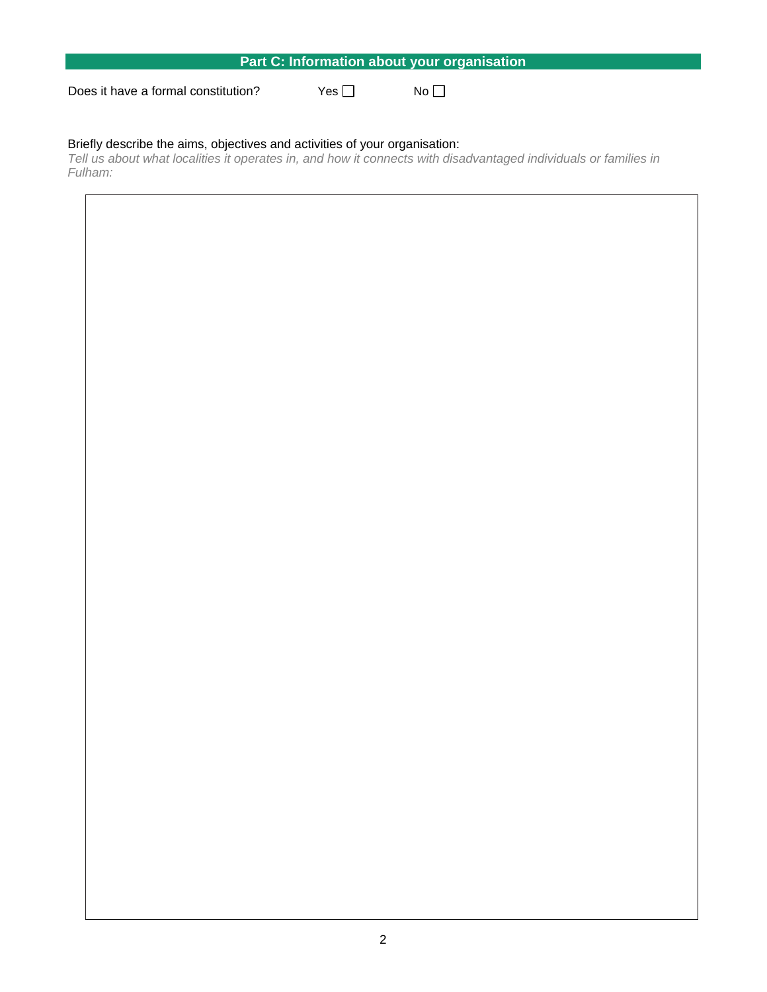| Part C: Information about your organisation |       |                 |  |  |  |
|---------------------------------------------|-------|-----------------|--|--|--|
| Does it have a formal constitution?         | Yes I | No <sub>1</sub> |  |  |  |

### Briefly describe the aims, objectives and activities of your organisation:

*Tell us about what localities it operates in, and how it connects with disadvantaged individuals or families in Fulham:*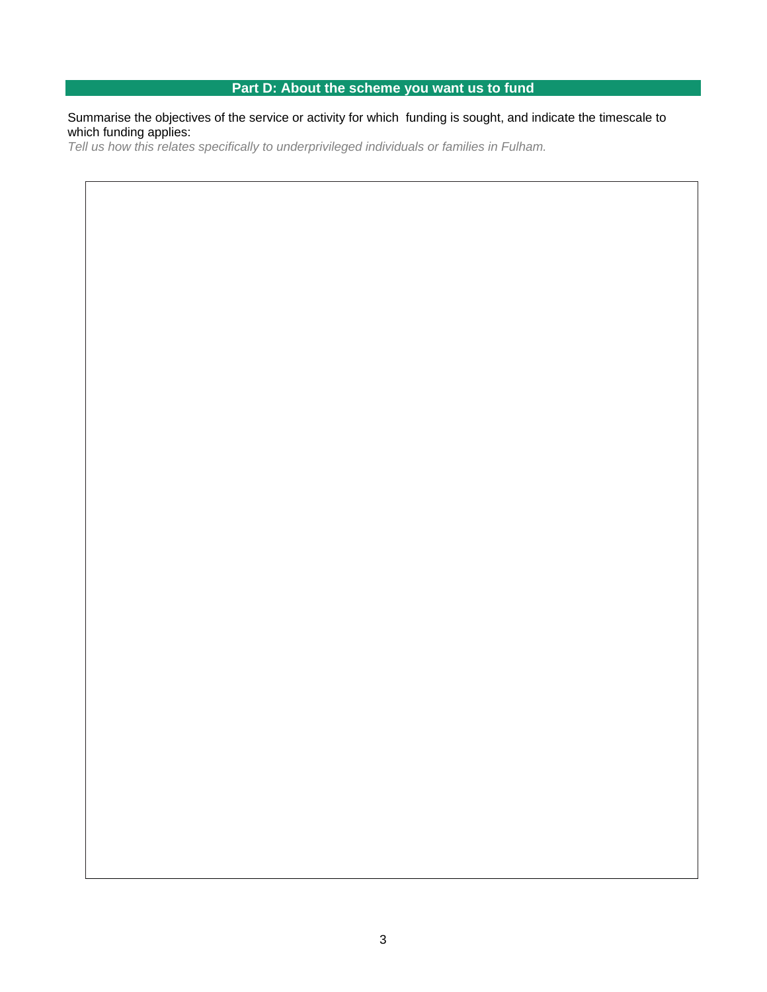# **Part D: About the scheme you want us to fund**

Summarise the objectives of the service or activity for which funding is sought, and indicate the timescale to which funding applies:

*Tell us how this relates specifically to underprivileged individuals or families in Fulham.*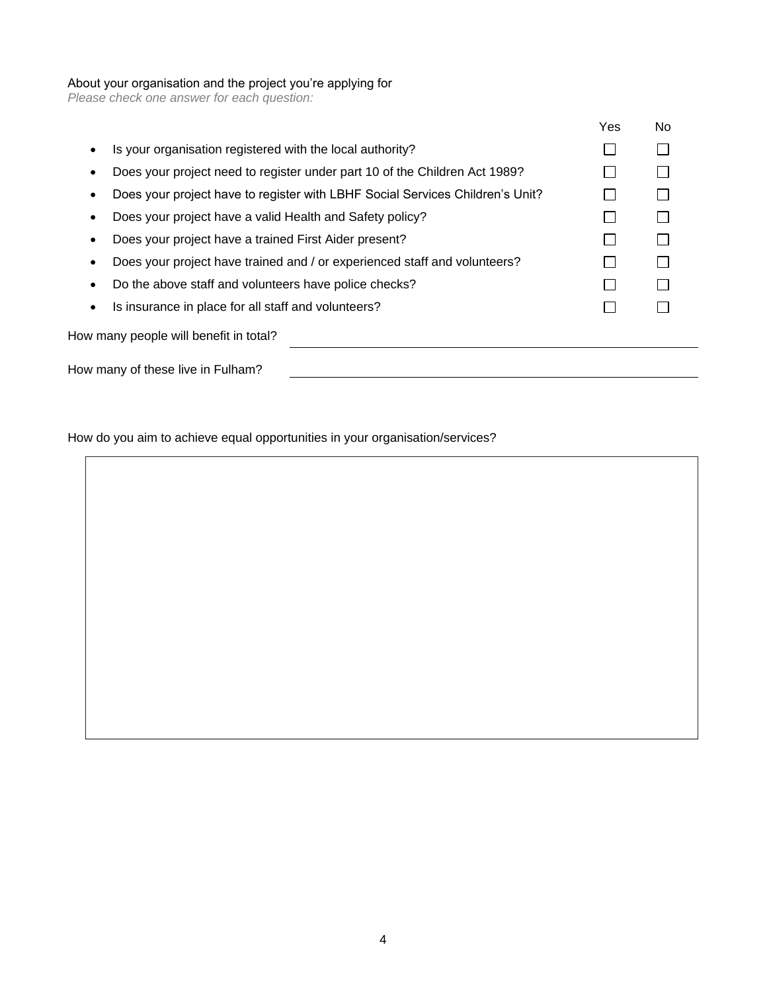#### About your organisation and the project you're applying for

*Please check one answer for each question:*

|                                                                               | Yes | No. |
|-------------------------------------------------------------------------------|-----|-----|
| Is your organisation registered with the local authority?                     |     |     |
| Does your project need to register under part 10 of the Children Act 1989?    |     |     |
| Does your project have to register with LBHF Social Services Children's Unit? |     |     |
| Does your project have a valid Health and Safety policy?                      |     |     |
| Does your project have a trained First Aider present?                         |     |     |
| Does your project have trained and / or experienced staff and volunteers?     |     |     |
| Do the above staff and volunteers have police checks?                         |     |     |
| Is insurance in place for all staff and volunteers?                           |     |     |
| How many people will benefit in total?                                        |     |     |
| How many of these live in Fulham?                                             |     |     |

How do you aim to achieve equal opportunities in your organisation/services?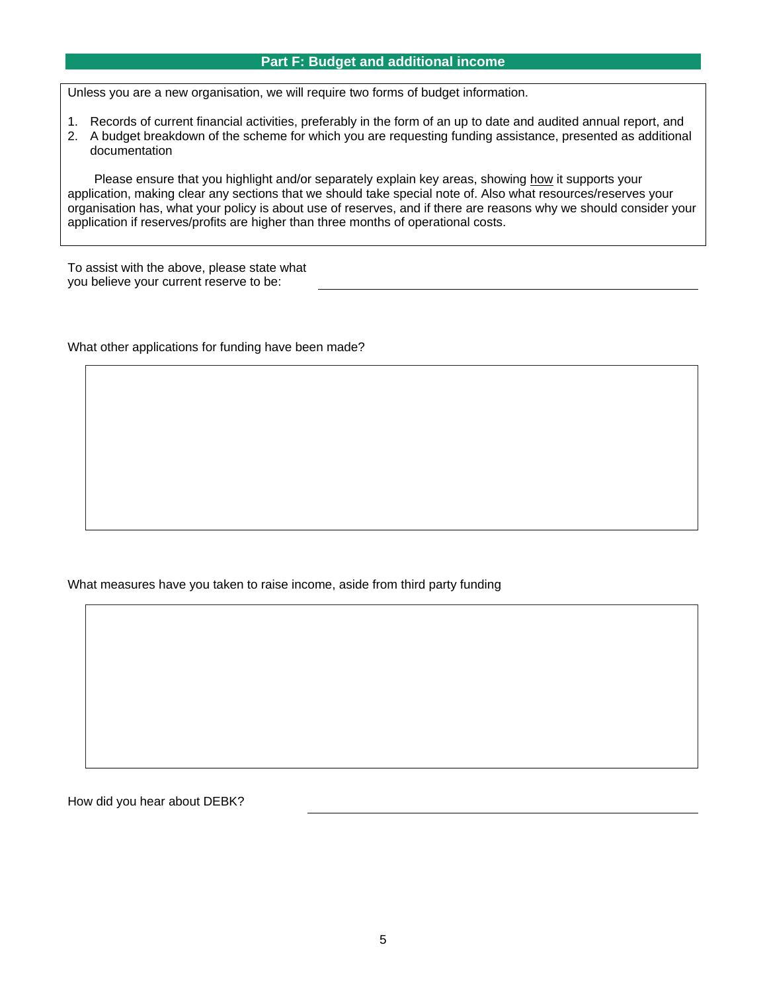#### **Part F: Budget and additional income**

Unless you are a new organisation, we will require two forms of budget information.

- 1. Records of current financial activities, preferably in the form of an up to date and audited annual report, and
- 2. A budget breakdown of the scheme for which you are requesting funding assistance, presented as additional documentation

Please ensure that you highlight and/or separately explain key areas, showing how it supports your application, making clear any sections that we should take special note of. Also what resources/reserves your organisation has, what your policy is about use of reserves, and if there are reasons why we should consider your application if reserves/profits are higher than three months of operational costs.

To assist with the above, please state what you believe your current reserve to be:

What other applications for funding have been made?

What measures have you taken to raise income, aside from third party funding

How did you hear about DEBK?